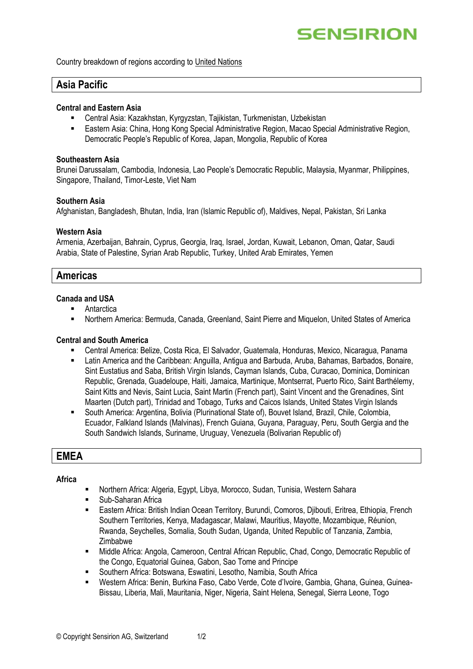# **SENSIRION**

Country breakdown of regions according t[o United Nations](https://unstats.un.org/unsd/methodology/m49/)

## **Asia Pacific**

#### **Central and Eastern Asia**

- Central Asia: Kazakhstan, Kyrgyzstan, Tajikistan, Turkmenistan, Uzbekistan
- Eastern Asia: China, Hong Kong Special Administrative Region, Macao Special Administrative Region, Democratic People's Republic of Korea, Japan, Mongolia, Republic of Korea

#### **Southeastern Asia**

Brunei Darussalam, Cambodia, Indonesia, Lao People's Democratic Republic, Malaysia, Myanmar, Philippines, Singapore, Thailand, Timor-Leste, Viet Nam

#### **Southern Asia**

Afghanistan, Bangladesh, Bhutan, India, Iran (Islamic Republic of), Maldives, Nepal, Pakistan, Sri Lanka

#### **Western Asia**

Armenia, Azerbaijan, Bahrain, Cyprus, Georgia, Iraq, Israel, Jordan, Kuwait, Lebanon, Oman, Qatar, Saudi Arabia, State of Palestine, Syrian Arab Republic, Turkey, United Arab Emirates, Yemen

### **Americas**

#### **Canada and USA**

- Antarctica
- Northern America: Bermuda, Canada, Greenland, Saint Pierre and Miguelon, United States of America

#### **Central and South America**

- Central America: Belize, Costa Rica, El Salvador, Guatemala, Honduras, Mexico, Nicaragua, Panama
- Latin America and the Caribbean: Anguilla, Antigua and Barbuda, Aruba, Bahamas, Barbados, Bonaire, Sint Eustatius and Saba, British Virgin Islands, Cayman Islands, Cuba, Curacao, Dominica, Dominican Republic, Grenada, Guadeloupe, Haiti, Jamaica, Martinique, Montserrat, Puerto Rico, Saint Barthélemy, Saint Kitts and Nevis, Saint Lucia, Saint Martin (French part), Saint Vincent and the Grenadines, Sint Maarten (Dutch part), Trinidad and Tobago, Turks and Caicos Islands, United States Virgin Islands
- South America: Argentina, Bolivia (Plurinational State of), Bouvet Island, Brazil, Chile, Colombia, Ecuador, Falkland Islands (Malvinas), French Guiana, Guyana, Paraguay, Peru, South Gergia and the South Sandwich Islands, Suriname, Uruguay, Venezuela (Bolivarian Republic of)

## **EMEA**

#### **Africa**

- Northern Africa: Algeria, Egypt, Libya, Morocco, Sudan, Tunisia, Western Sahara
- Sub-Saharan Africa
- Eastern Africa: British Indian Ocean Territory, Burundi, Comoros, Djibouti, Eritrea, Ethiopia, French Southern Territories, Kenya, Madagascar, Malawi, Mauritius, Mayotte, Mozambique, Réunion, Rwanda, Seychelles, Somalia, South Sudan, Uganda, United Republic of Tanzania, Zambia, Zimbabwe
- Middle Africa: Angola, Cameroon, Central African Republic, Chad, Congo, Democratic Republic of the Congo, Equatorial Guinea, Gabon, Sao Tome and Principe
- Southern Africa: Botswana, Eswatini, Lesotho, Namibia, South Africa
- Western Africa: Benin, Burkina Faso, Cabo Verde, Cote d'Ivoire, Gambia, Ghana, Guinea, Guinea-Bissau, Liberia, Mali, Mauritania, Niger, Nigeria, Saint Helena, Senegal, Sierra Leone, Togo